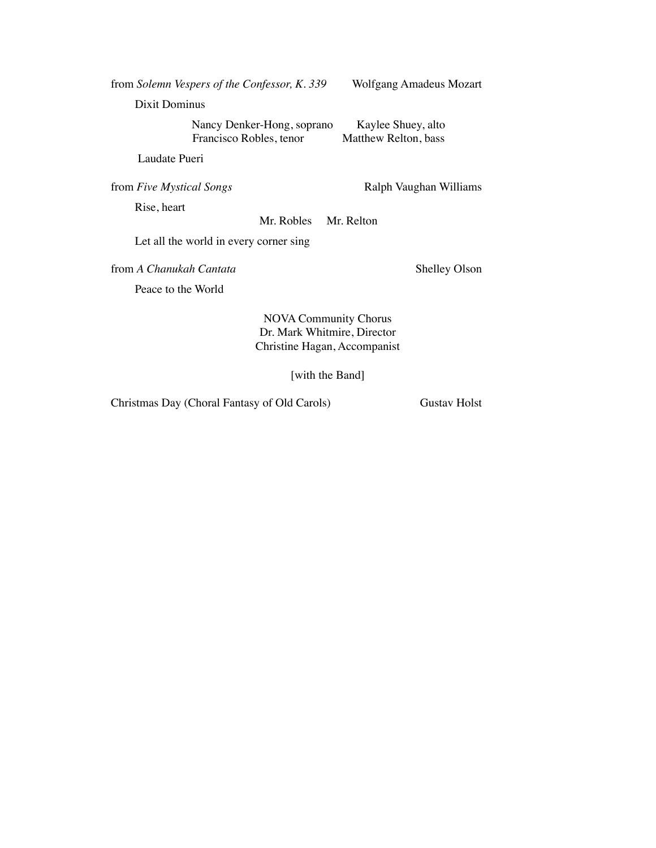| from Solemn Vespers of the Confessor, K. 339                                                | Wolfgang Amadeus Mozart                    |
|---------------------------------------------------------------------------------------------|--------------------------------------------|
| Dixit Dominus                                                                               |                                            |
| Nancy Denker-Hong, soprano<br>Francisco Robles, tenor                                       | Kaylee Shuey, alto<br>Matthew Relton, bass |
| Laudate Pueri                                                                               |                                            |
| from Five Mystical Songs                                                                    | Ralph Vaughan Williams                     |
| Rise, heart                                                                                 |                                            |
| Mr. Robles                                                                                  | Mr. Relton                                 |
| Let all the world in every corner sing                                                      |                                            |
| from A Chanukah Cantata                                                                     | <b>Shelley Olson</b>                       |
| Peace to the World                                                                          |                                            |
| <b>NOVA Community Chorus</b><br>Dr. Mark Whitmire, Director<br>Christine Hagan, Accompanist |                                            |

[with the Band]

Christmas Day (Choral Fantasy of Old Carols) Gustav Holst